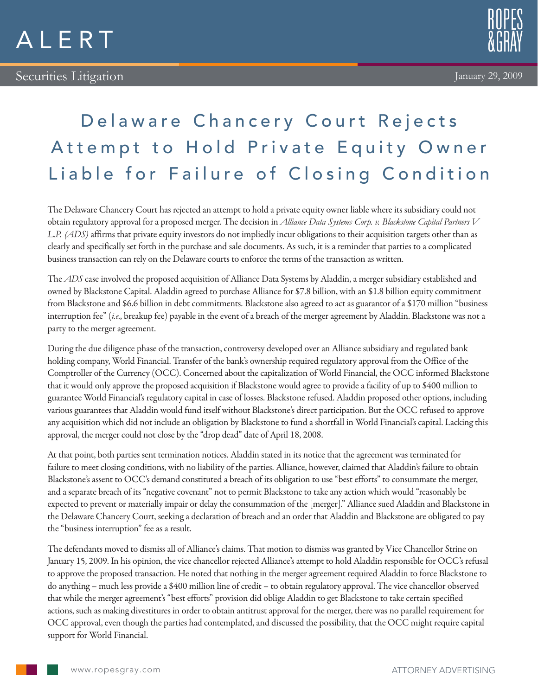



## Delaware Chancery Court Rejects Attempt to Hold Private Equity Owner Liable for Failure of Closing Condition

The Delaware Chancery Court has rejected an attempt to hold a private equity owner liable where its subsidiary could not obtain regulatory approval for a proposed merger. The decision in *Alliance Data Systems Corp. v. Blackstone Capital Partners V L.P. (ADS)* affirms that private equity investors do not impliedly incur obligations to their acquisition targets other than as clearly and specifically set forth in the purchase and sale documents. As such, it is a reminder that parties to a complicated business transaction can rely on the Delaware courts to enforce the terms of the transaction as written.

The *ADS* case involved the proposed acquisition of Alliance Data Systems by Aladdin, a merger subsidiary established and owned by Blackstone Capital. Aladdin agreed to purchase Alliance for \$7.8 billion, with an \$1.8 billion equity commitment from Blackstone and \$6.6 billion in debt commitments. Blackstone also agreed to act as guarantor of a \$170 million "business interruption fee" (*i.e*., breakup fee) payable in the event of a breach of the merger agreement by Aladdin. Blackstone was not a party to the merger agreement.

During the due diligence phase of the transaction, controversy developed over an Alliance subsidiary and regulated bank holding company, World Financial. Transfer of the bank's ownership required regulatory approval from the Office of the Comptroller of the Currency (OCC). Concerned about the capitalization of World Financial, the OCC informed Blackstone that it would only approve the proposed acquisition if Blackstone would agree to provide a facility of up to \$400 million to guarantee World Financial's regulatory capital in case of losses. Blackstone refused. Aladdin proposed other options, including various guarantees that Aladdin would fund itself without Blackstone's direct participation. But the OCC refused to approve any acquisition which did not include an obligation by Blackstone to fund a shortfall in World Financial's capital. Lacking this approval, the merger could not close by the "drop dead" date of April 18, 2008.

At that point, both parties sent termination notices. Aladdin stated in its notice that the agreement was terminated for failure to meet closing conditions, with no liability of the parties. Alliance, however, claimed that Aladdin's failure to obtain Blackstone's assent to OCC's demand constituted a breach of its obligation to use "best efforts" to consummate the merger, and a separate breach of its "negative covenant" not to permit Blackstone to take any action which would "reasonably be expected to prevent or materially impair or delay the consummation of the [merger]." Alliance sued Aladdin and Blackstone in the Delaware Chancery Court, seeking a declaration of breach and an order that Aladdin and Blackstone are obligated to pay the "business interruption" fee as a result.

The defendants moved to dismiss all of Alliance's claims. That motion to dismiss was granted by Vice Chancellor Strine on January 15, 2009. In his opinion, the vice chancellor rejected Alliance's attempt to hold Aladdin responsible for OCC's refusal to approve the proposed transaction. He noted that nothing in the merger agreement required Aladdin to force Blackstone to do anything – much less provide a \$400 million line of credit – to obtain regulatory approval. The vice chancellor observed that while the merger agreement's "best efforts" provision did oblige Aladdin to get Blackstone to take certain specified actions, such as making divestitures in order to obtain antitrust approval for the merger, there was no parallel requirement for OCC approval, even though the parties had contemplated, and discussed the possibility, that the OCC might require capital support for World Financial.